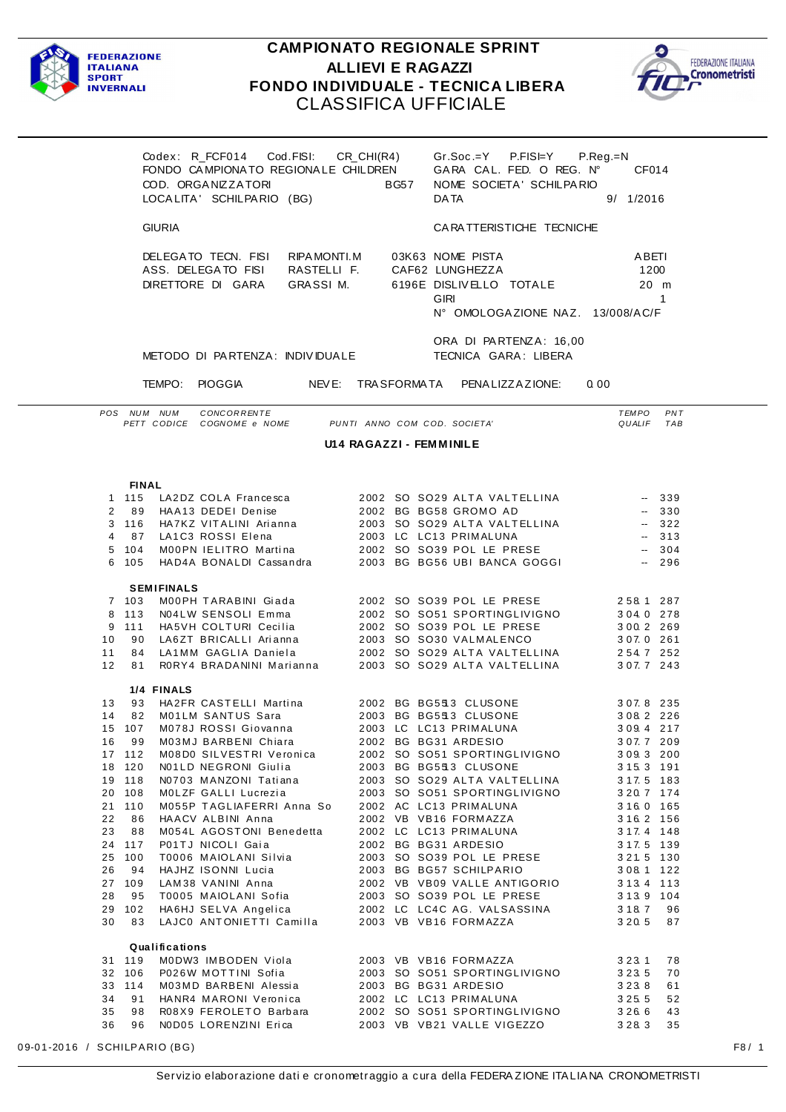

## **CAMPIONATO REGIONALE SPRINT ALLIEVI E RAGAZZI** FONDO INDIVIDUALE - TECNICA LIBERA **CLASSIFICA UFFICIALE**



|                 | COD. ORGANIZZATORI                                             | Codex: R FCF014 Cod.FISI:<br>LOCALITA' SCHILPARIO (BG) | FONDO CAMPIONATO REGIONALE CHILDREN      | CR CHI(R4)<br>BG57 | <b>DATA</b>                                                                   | $Gr.Soc.=Y$ P.FIS $\models Y$ P.Req.=N<br>GARA CAL. FED. O REG. N°<br>NOME SOCIETA' SCHILPARIO |      | CF014<br>9/1/2016      |            |
|-----------------|----------------------------------------------------------------|--------------------------------------------------------|------------------------------------------|--------------------|-------------------------------------------------------------------------------|------------------------------------------------------------------------------------------------|------|------------------------|------------|
|                 | <b>GIURIA</b>                                                  |                                                        |                                          |                    |                                                                               | CARATTERISTICHE TECNICHE                                                                       |      |                        |            |
|                 | DELEGATO TECN. FISI<br>ASS. DELEGATO FISI<br>DIRETTORE DI GARA |                                                        | RIPA MONTI, M<br>RASTELLI F.<br>GRASSIM. |                    | 03K63 NOME PISTA<br>CAF62 LUNGHEZZA<br>6196E DISLIVELLO TOTALE<br><b>GIRI</b> | N° OMOLOGAZIONE NAZ. 13/008/AC/F                                                               |      | ABETI<br>1200<br>20 m  | 1          |
|                 | METODO DI PARTENZA: INDIVIDUALE                                |                                                        |                                          |                    | ORA DI PARTENZA: 16,00<br>TECNICA GARA: LIBERA                                |                                                                                                |      |                        |            |
|                 | TEMPO:                                                         | <b>PIOGGIA</b>                                         | NEV E:                                   | TRA SFORMA TA      |                                                                               | PENA LIZZA ZIONE:                                                                              | 0.00 |                        |            |
| PO <sub>S</sub> | <b>NIJM</b><br><b>NUM</b><br>PETT CODICE                       | CONCORRENTE<br>COGNOME e NOME                          |                                          |                    | PUNTI ANNO COM COD. SOCIETA'                                                  |                                                                                                |      | <b>TEMPO</b><br>QUALIF | PNT<br>TAB |

**U14 RAGAZZI - FEMMINILE** 

## **FINAL**

|    | 1 115  | LA2DZ COLA Francesca                            |  | 2002 SO SO29 ALTA VALTELLINA                                                   | $\sim$                   | 339      |
|----|--------|-------------------------------------------------|--|--------------------------------------------------------------------------------|--------------------------|----------|
| 2  | 89     | HAA13 DEDEI Denise                              |  | 2002 BG BG58 GROMO AD<br>2002 BG BG58 GROMO AD<br>2003 SO SO29 ALTA VALTELLINA | $\overline{\phantom{a}}$ | 330      |
|    | 3 116  | HA7KZ VITALINI Arianna                          |  |                                                                                | $\sim$                   | 322      |
| 4  | 87     | LA1C3 ROSSI Elena                               |  | 2003 LC LC13 PRIMALUNA                                                         | a sa T                   | 313      |
|    | 5 104  | M00PN IELITRO Martina                           |  |                                                                                |                          |          |
| 6  | 105    | HAD4A BONALDI Cassandra                         |  |                                                                                |                          |          |
|    |        |                                                 |  |                                                                                |                          |          |
|    |        | <b>SEMIFINALS</b>                               |  |                                                                                |                          |          |
|    | 7 103  | MOOPH TARABINI Giada                            |  | 2002 SO SO39 POL LE PRESE                                                      | 258.1 287                |          |
| 8  | 113    | N04LW SENSOLI Emma                              |  | 2002 SO SO51 SPORTINGLIVIGNO                                                   | 304.0 278                |          |
| 9  | 111    | HA5VH COLTURI Cecilia                           |  | 2002 SO SO39 POL LE PRESE                                                      | 300.2 269                |          |
| 10 | 90     | LA6ZT BRICALLI Arianna                          |  | 2003 SO SO30 VALMALENCO                                                        | 3 0 7. 0 2 6 1           |          |
| 11 | 84     | LA1MM GAGLIA Daniela                            |  | 2002 SO SO29 ALTA VALTELLINA<br>2003 SO SO29 ALTA VALTELLINA                   | 2547252                  |          |
| 12 | 81     | RORY4 BRADANINI Marianna                        |  |                                                                                | 307.7 243                |          |
|    |        | 1/4 FINALS                                      |  |                                                                                |                          |          |
| 13 | 93     | HA2FR CASTELLI Martina                          |  | 2002 BG BG553 CLUSONE                                                          | 307.8 235                |          |
| 14 | 82     | M01LM SANTUS Sara                               |  | 2003 BG BG553 CLUSONE                                                          | 3082226                  |          |
|    | 15 107 | M078J ROSSI Giovanna                            |  | 2003 LC LC13 PRIMALUNA                                                         | 3 0 9 4 2 1 7            |          |
| 16 | 99     | M03MJ BARBENI Chiara                            |  | 2002 BG BG31 ARDESIO                                                           | 307.7 209                |          |
|    | 17 112 | M08D0 SILVESTRI Veronica                        |  | 2002 SO SO51 SPORTINGLIVIGNO                                                   | 309.3 200                |          |
| 18 | 120    | N01LD NEGRONI Giulia                            |  | 2003 BG BG553 CLUSONE                                                          | 3 1 5 3 1 9 1            |          |
| 19 | 118    | N0703 MANZONI Tatiana                           |  | 2003 SO SO29 ALTA VALTELLINA                                                   | 3 17.5 183               |          |
| 20 | 108    | MOLZF GALLI Lucrezia                            |  | 2003 SO SO51 SPORTINGLIVIGNO                                                   | 3 2 0. 7 1 7 4           |          |
|    | 21 110 | M055P TAGLIAFERRI Anna So                       |  | 2002 AC LC13 PRIMALUNA                                                         | 3 1 6 0 1 6 5            |          |
| 22 | 86     | HAACV ALBINI Anna                               |  | 2002 VB VB16 FORMAZZA                                                          | 3 1 6 2 1 5 6            |          |
| 23 | 88     | M054L AGOSTONI Benedetta                        |  | 2002 LC LC13 PRIMALUNA                                                         | 3 1 7. 4 1 4 8           |          |
|    | 24 117 | P01TJ NICOLI Gaia                               |  | 2002 BG BG31 ARDESIO                                                           | 3 1 7. 5 1 3 9           |          |
|    | 25 100 | T0006 MAIOLANI Silvia                           |  | 2003 SO SO39 POL LE PRESE                                                      | 3 2 1.5 130              |          |
| 26 | 94     | HAJHZ ISONNI Lucia                              |  | 2003 BG BG57 SCHILPARIO                                                        | 308.1                    | 122      |
|    | 27 109 | LAM38 VANINI Anna                               |  | 2002 VB VB09 VALLE ANTIGORIO                                                   | 3 1 3 4                  | 113      |
| 28 | 95     | T0005 MAIOLANI Sofia                            |  | 2003 SO SO39 POL LE PRESE                                                      | 3 1 3 9 1 0 4            |          |
|    | 29 102 | HA6HJ SELVA Angelica                            |  | 2002 LC LC4C AG. VALSASSINA                                                    | 3 1 8 7                  | 96       |
| 30 | 83     | LAJCO ANTONIETTI Camilla 2003 VB VB16 FORMAZZA  |  |                                                                                | 3 2 0 5                  | 87       |
|    |        |                                                 |  |                                                                                |                          |          |
|    |        | Qualifications                                  |  |                                                                                |                          |          |
|    | 31 119 | MODW3 IMBODEN Viola<br>P026W MOTTINI Sofia      |  | 2003 VB VB16 FORMAZZA<br>2003 SO SO51 SPORTINGLIVIGNO                          | 3 2 3 1<br>3235          | 78       |
|    | 32 106 | M03MD BARBENI Alessia                           |  | 2003 BG BG31 ARDESIO                                                           | 3238                     | 70       |
|    | 33 114 |                                                 |  |                                                                                |                          | 61       |
| 34 | 91     | HANR4 MARONI Veronica                           |  | 2002 LC LC13 PRIMALUNA<br>2002 SO SO51 SPORTINGLIVIGNO                         | 3 2 5 5                  | 52       |
| 35 | 98     | R08X9 FEROLETO Barbara<br>N0D05 LORENZINI Erica |  | 2003 VB VB21 VALLE VIGEZZO                                                     | 3266<br>3283             | 43<br>35 |
| 36 | 96     |                                                 |  |                                                                                |                          |          |
|    |        |                                                 |  |                                                                                |                          |          |

09-01-2016 / SCHILPARIO (BG)